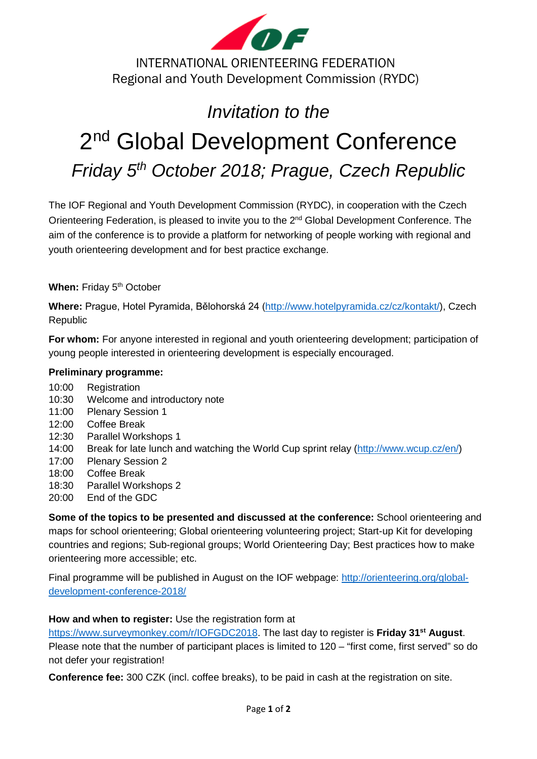

# *Invitation to the*

# 2<sup>nd</sup> Global Development Conference *Friday 5th October 2018; Prague, Czech Republic*

The IOF Regional and Youth Development Commission (RYDC), in cooperation with the Czech Orienteering Federation, is pleased to invite you to the 2<sup>nd</sup> Global Development Conference. The aim of the conference is to provide a platform for networking of people working with regional and youth orienteering development and for best practice exchange.

When: Friday 5<sup>th</sup> October

**Where:** Prague, Hotel Pyramida, Bělohorská 24 ([http://www.hotelpyramida.cz/cz/kontakt/\)](http://www.hotelpyramida.cz/cz/kontakt/), Czech Republic

**For whom:** For anyone interested in regional and youth orienteering development; participation of young people interested in orienteering development is especially encouraged.

#### **Preliminary programme:**

- 10:00 Registration
- 10:30 Welcome and introductory note
- 11:00 Plenary Session 1
- 12:00 Coffee Break
- 12:30 Parallel Workshops 1
- 14:00 Break for late lunch and watching the World Cup sprint relay [\(http://www.wcup.cz/en/\)](http://www.wcup.cz/en/)
- 17:00 Plenary Session 2
- 18:00 Coffee Break
- 18:30 Parallel Workshops 2
- 20:00 End of the GDC

**Some of the topics to be presented and discussed at the conference:** School orienteering and maps for school orienteering; Global orienteering volunteering project; Start-up Kit for developing countries and regions; Sub-regional groups; World Orienteering Day; Best practices how to make orienteering more accessible; etc.

Final programme will be published in August on the IOF webpage: [http://orienteering.org/global](http://orienteering.org/global-development-conference-2018/)[development-conference-2018/](http://orienteering.org/global-development-conference-2018/)

## **How and when to register:** Use the registration form at

[https://www.surveymonkey.com/r/IOFGDC2018.](https://www.surveymonkey.com/r/IOFGDC2018) The last day to register is **Friday 31st August**. Please note that the number of participant places is limited to 120 – "first come, first served" so do not defer your registration!

**Conference fee:** 300 CZK (incl. coffee breaks), to be paid in cash at the registration on site.